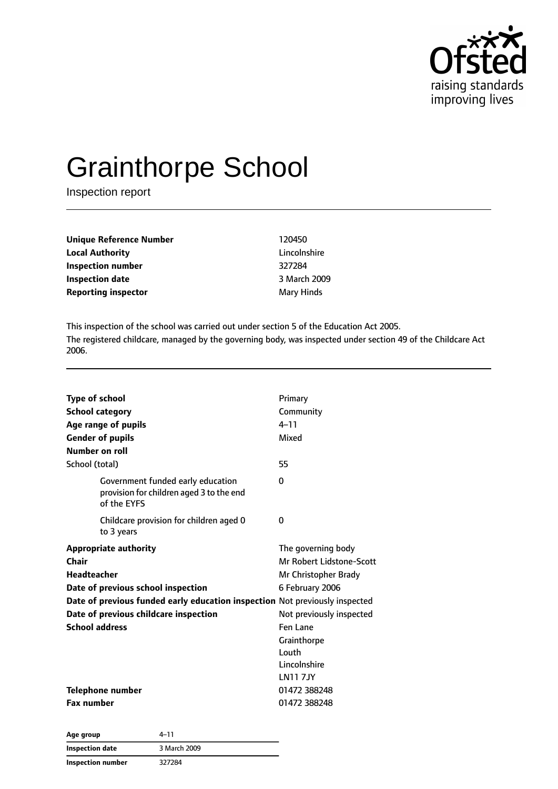

# Grainthorpe School

Inspection report

| Unique Reference Number    | 120450       |
|----------------------------|--------------|
| <b>Local Authority</b>     | Lincolnshire |
| Inspection number          | 327284       |
| <b>Inspection date</b>     | 3 March 2009 |
| <b>Reporting inspector</b> | Mary Hinds   |

This inspection of the school was carried out under section 5 of the Education Act 2005. The registered childcare, managed by the governing body, was inspected under section 49 of the Childcare Act 2006.

| <b>Type of school</b><br><b>School category</b><br>Age range of pupils<br><b>Gender of pupils</b><br>Number on roll<br>School (total)                                                                                                              | Primary<br>Community<br>$4 - 11$<br>Mixed<br>55                                                                                                                                             |
|----------------------------------------------------------------------------------------------------------------------------------------------------------------------------------------------------------------------------------------------------|---------------------------------------------------------------------------------------------------------------------------------------------------------------------------------------------|
| Government funded early education<br>provision for children aged 3 to the end<br>of the EYFS                                                                                                                                                       | 0                                                                                                                                                                                           |
| Childcare provision for children aged 0<br>to 3 years                                                                                                                                                                                              | 0                                                                                                                                                                                           |
| <b>Appropriate authority</b><br>Chair<br><b>Headteacher</b><br>Date of previous school inspection<br>Date of previous funded early education inspection Not previously inspected<br>Date of previous childcare inspection<br><b>School address</b> | The governing body<br>Mr Robert Lidstone-Scott<br>Mr Christopher Brady<br>6 February 2006<br>Not previously inspected<br>Fen Lane<br>Grainthorpe<br>Louth<br>Lincolnshire<br><b>LN117JY</b> |
| <b>Telephone number</b><br><b>Fax number</b>                                                                                                                                                                                                       | 01472 388248<br>01472 388248                                                                                                                                                                |

| Age group         | 4–11         |  |
|-------------------|--------------|--|
| Inspection date   | 3 March 2009 |  |
| Inspection number | 327284       |  |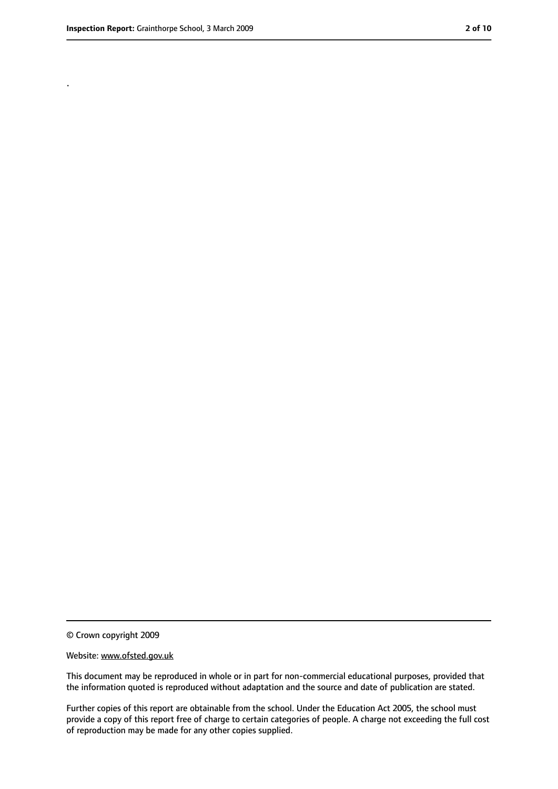.

<sup>©</sup> Crown copyright 2009

Website: www.ofsted.gov.uk

This document may be reproduced in whole or in part for non-commercial educational purposes, provided that the information quoted is reproduced without adaptation and the source and date of publication are stated.

Further copies of this report are obtainable from the school. Under the Education Act 2005, the school must provide a copy of this report free of charge to certain categories of people. A charge not exceeding the full cost of reproduction may be made for any other copies supplied.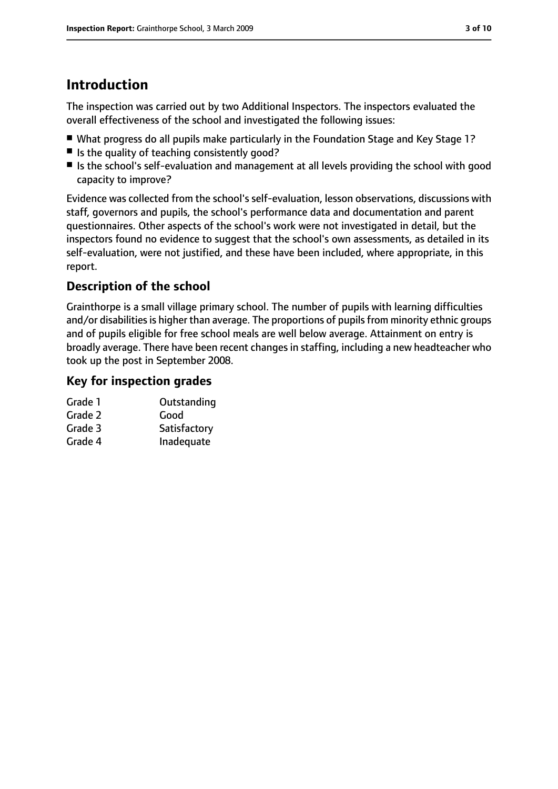# **Introduction**

The inspection was carried out by two Additional Inspectors. The inspectors evaluated the overall effectiveness of the school and investigated the following issues:

- What progress do all pupils make particularly in the Foundation Stage and Key Stage 1?
- Is the quality of teaching consistently good?
- Is the school's self-evaluation and management at all levels providing the school with good capacity to improve?

Evidence was collected from the school's self-evaluation, lesson observations, discussions with staff, governors and pupils, the school's performance data and documentation and parent questionnaires. Other aspects of the school's work were not investigated in detail, but the inspectors found no evidence to suggest that the school's own assessments, as detailed in its self-evaluation, were not justified, and these have been included, where appropriate, in this report.

## **Description of the school**

Grainthorpe is a small village primary school. The number of pupils with learning difficulties and/or disabilities is higher than average. The proportions of pupils from minority ethnic groups and of pupils eligible for free school meals are well below average. Attainment on entry is broadly average. There have been recent changes in staffing, including a new headteacher who took up the post in September 2008.

#### **Key for inspection grades**

| Grade 1 | Outstanding  |
|---------|--------------|
| Grade 2 | Good         |
| Grade 3 | Satisfactory |
| Grade 4 | Inadequate   |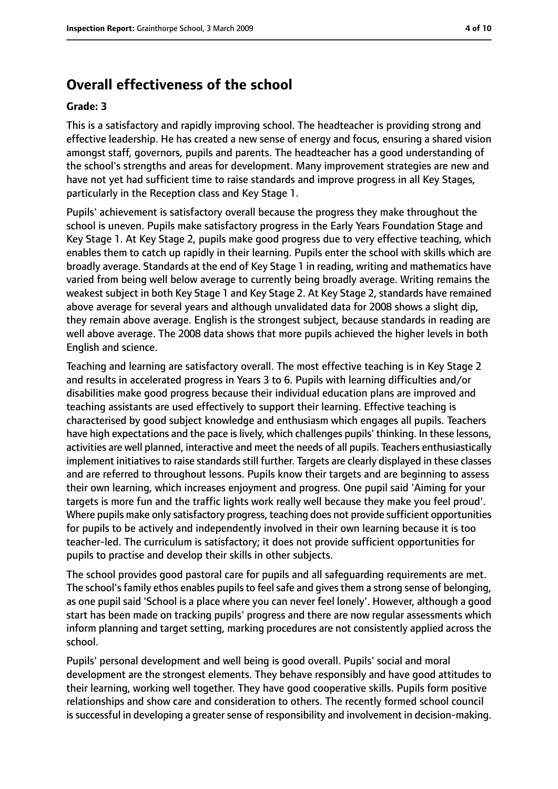#### **Overall effectiveness of the school**

#### **Grade: 3**

This is a satisfactory and rapidly improving school. The headteacher is providing strong and effective leadership. He has created a new sense of energy and focus, ensuring a shared vision amongst staff, governors, pupils and parents. The headteacher has a good understanding of the school's strengths and areas for development. Many improvement strategies are new and have not yet had sufficient time to raise standards and improve progress in all Key Stages, particularly in the Reception class and Key Stage 1.

Pupils' achievement is satisfactory overall because the progress they make throughout the school is uneven. Pupils make satisfactory progress in the Early Years Foundation Stage and Key Stage 1. At Key Stage 2, pupils make good progress due to very effective teaching, which enables them to catch up rapidly in their learning. Pupils enter the school with skills which are broadly average. Standards at the end of Key Stage 1 in reading, writing and mathematics have varied from being well below average to currently being broadly average. Writing remains the weakest subject in both Key Stage 1 and Key Stage 2. At Key Stage 2, standards have remained above average for several years and although unvalidated data for 2008 shows a slight dip, they remain above average. English is the strongest subject, because standards in reading are well above average. The 2008 data shows that more pupils achieved the higher levels in both English and science.

Teaching and learning are satisfactory overall. The most effective teaching is in Key Stage 2 and results in accelerated progress in Years 3 to 6. Pupils with learning difficulties and/or disabilities make good progress because their individual education plans are improved and teaching assistants are used effectively to support their learning. Effective teaching is characterised by good subject knowledge and enthusiasm which engages all pupils. Teachers have high expectations and the pace is lively, which challenges pupils' thinking. In these lessons, activities are well planned, interactive and meet the needs of all pupils. Teachers enthusiastically implement initiatives to raise standards still further. Targets are clearly displayed in these classes and are referred to throughout lessons. Pupils know their targets and are beginning to assess their own learning, which increases enjoyment and progress. One pupil said 'Aiming for your targets is more fun and the traffic lights work really well because they make you feel proud'. Where pupils make only satisfactory progress, teaching does not provide sufficient opportunities for pupils to be actively and independently involved in their own learning because it is too teacher-led. The curriculum is satisfactory; it does not provide sufficient opportunities for pupils to practise and develop their skills in other subjects.

The school provides good pastoral care for pupils and all safeguarding requirements are met. The school's family ethos enables pupils to feel safe and gives them a strong sense of belonging, as one pupil said 'School is a place where you can never feel lonely'. However, although a good start has been made on tracking pupils' progress and there are now regular assessments which inform planning and target setting, marking procedures are not consistently applied across the school.

Pupils' personal development and well being is good overall. Pupils' social and moral development are the strongest elements. They behave responsibly and have good attitudes to their learning, working well together. They have good cooperative skills. Pupils form positive relationships and show care and consideration to others. The recently formed school council is successful in developing a greater sense of responsibility and involvement in decision-making.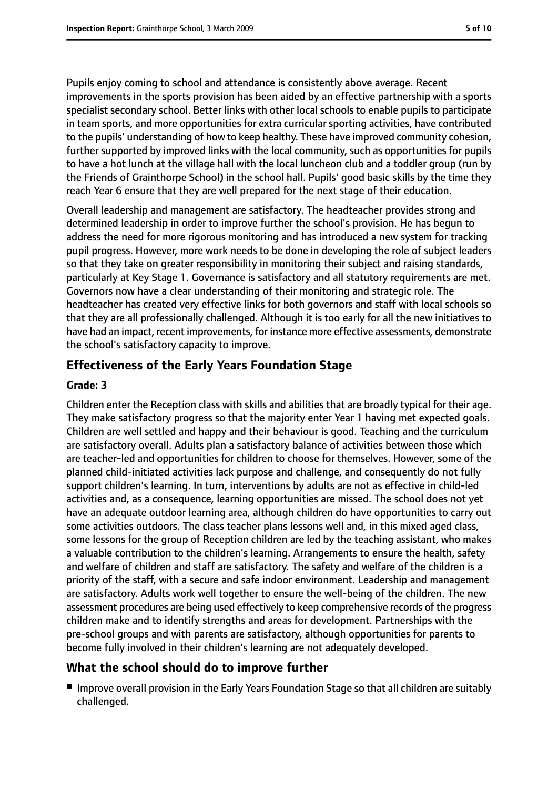Pupils enjoy coming to school and attendance is consistently above average. Recent improvements in the sports provision has been aided by an effective partnership with a sports specialist secondary school. Better links with other local schools to enable pupils to participate in team sports, and more opportunities for extra curricular sporting activities, have contributed to the pupils' understanding of how to keep healthy. These have improved community cohesion, further supported by improved links with the local community, such as opportunities for pupils to have a hot lunch at the village hall with the local luncheon club and a toddler group (run by the Friends of Grainthorpe School) in the school hall. Pupils' good basic skills by the time they reach Year 6 ensure that they are well prepared for the next stage of their education.

Overall leadership and management are satisfactory. The headteacher provides strong and determined leadership in order to improve further the school's provision. He has begun to address the need for more rigorous monitoring and has introduced a new system for tracking pupil progress. However, more work needs to be done in developing the role of subject leaders so that they take on greater responsibility in monitoring their subject and raising standards, particularly at Key Stage 1. Governance is satisfactory and all statutory requirements are met. Governors now have a clear understanding of their monitoring and strategic role. The headteacher has created very effective links for both governors and staff with local schools so that they are all professionally challenged. Although it is too early for all the new initiatives to have had an impact, recent improvements, for instance more effective assessments, demonstrate the school's satisfactory capacity to improve.

#### **Effectiveness of the Early Years Foundation Stage**

#### **Grade: 3**

Children enter the Reception class with skills and abilities that are broadly typical for their age. They make satisfactory progress so that the majority enter Year 1 having met expected goals. Children are well settled and happy and their behaviour is good. Teaching and the curriculum are satisfactory overall. Adults plan a satisfactory balance of activities between those which are teacher-led and opportunities for children to choose for themselves. However, some of the planned child-initiated activities lack purpose and challenge, and consequently do not fully support children's learning. In turn, interventions by adults are not as effective in child-led activities and, as a consequence, learning opportunities are missed. The school does not yet have an adequate outdoor learning area, although children do have opportunities to carry out some activities outdoors. The class teacher plans lessons well and, in this mixed aged class, some lessons for the group of Reception children are led by the teaching assistant, who makes a valuable contribution to the children's learning. Arrangements to ensure the health, safety and welfare of children and staff are satisfactory. The safety and welfare of the children is a priority of the staff, with a secure and safe indoor environment. Leadership and management are satisfactory. Adults work well together to ensure the well-being of the children. The new assessment procedures are being used effectively to keep comprehensive records of the progress children make and to identify strengths and areas for development. Partnerships with the pre-school groups and with parents are satisfactory, although opportunities for parents to become fully involved in their children's learning are not adequately developed.

#### **What the school should do to improve further**

■ Improve overall provision in the Early Years Foundation Stage so that all children are suitably challenged.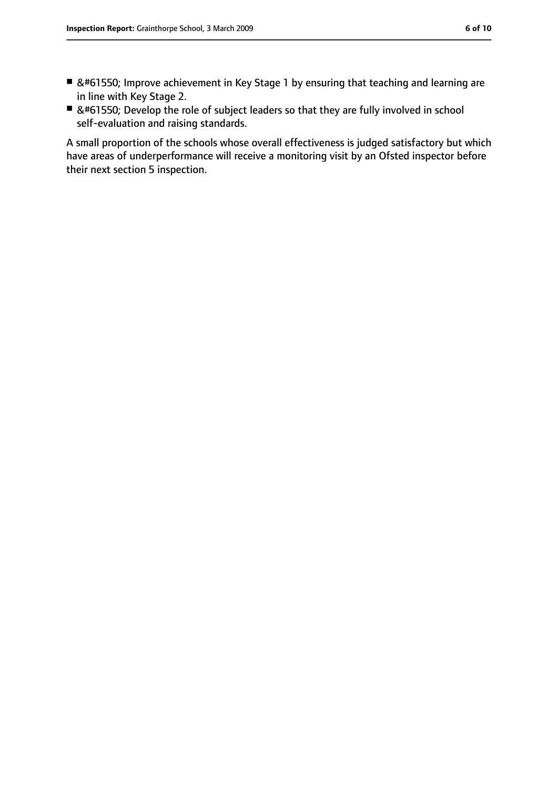-  Improve achievement in Key Stage 1 by ensuring that teaching and learning are in line with Key Stage 2.
-  Develop the role of subject leaders so that they are fully involved in school self-evaluation and raising standards.

A small proportion of the schools whose overall effectiveness is judged satisfactory but which have areas of underperformance will receive a monitoring visit by an Ofsted inspector before their next section 5 inspection.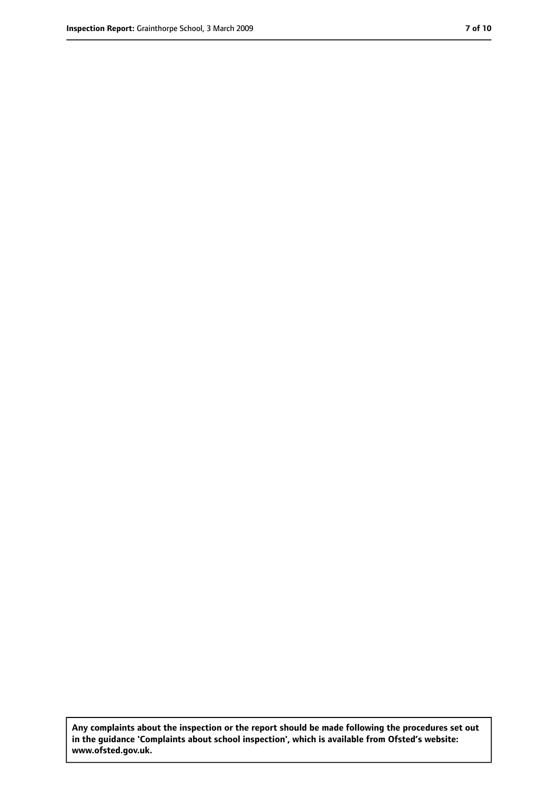**Any complaints about the inspection or the report should be made following the procedures set out in the guidance 'Complaints about school inspection', which is available from Ofsted's website: www.ofsted.gov.uk.**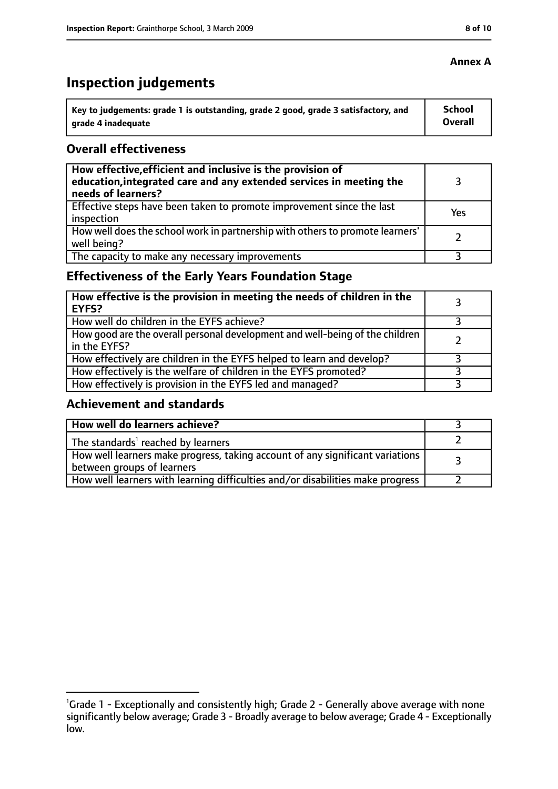# **Inspection judgements**

| \ Key to judgements: grade 1 is outstanding, grade 2 good, grade 3 satisfactory, and | <b>School</b>  |
|--------------------------------------------------------------------------------------|----------------|
| arade 4 inadequate                                                                   | <b>Overall</b> |

#### **Overall effectiveness**

| How effective, efficient and inclusive is the provision of<br>education, integrated care and any extended services in meeting the<br>needs of learners? |     |
|---------------------------------------------------------------------------------------------------------------------------------------------------------|-----|
| Effective steps have been taken to promote improvement since the last<br>inspection                                                                     | Yes |
| How well does the school work in partnership with others to promote learners'<br>well being?                                                            |     |
| The capacity to make any necessary improvements                                                                                                         |     |

## **Effectiveness of the Early Years Foundation Stage**

| How effective is the provision in meeting the needs of children in the<br>l EYFS?            |  |
|----------------------------------------------------------------------------------------------|--|
| How well do children in the EYFS achieve?                                                    |  |
| How good are the overall personal development and well-being of the children<br>in the EYFS? |  |
| How effectively are children in the EYFS helped to learn and develop?                        |  |
| How effectively is the welfare of children in the EYFS promoted?                             |  |
| How effectively is provision in the EYFS led and managed?                                    |  |

#### **Achievement and standards**

| How well do learners achieve?                                                  |  |
|--------------------------------------------------------------------------------|--|
| $\vert$ The standards <sup>1</sup> reached by learners                         |  |
| How well learners make progress, taking account of any significant variations  |  |
| between groups of learners                                                     |  |
| How well learners with learning difficulties and/or disabilities make progress |  |

#### **Annex A**

<sup>&</sup>lt;sup>1</sup>Grade 1 - Exceptionally and consistently high; Grade 2 - Generally above average with none significantly below average; Grade 3 - Broadly average to below average; Grade 4 - Exceptionally low.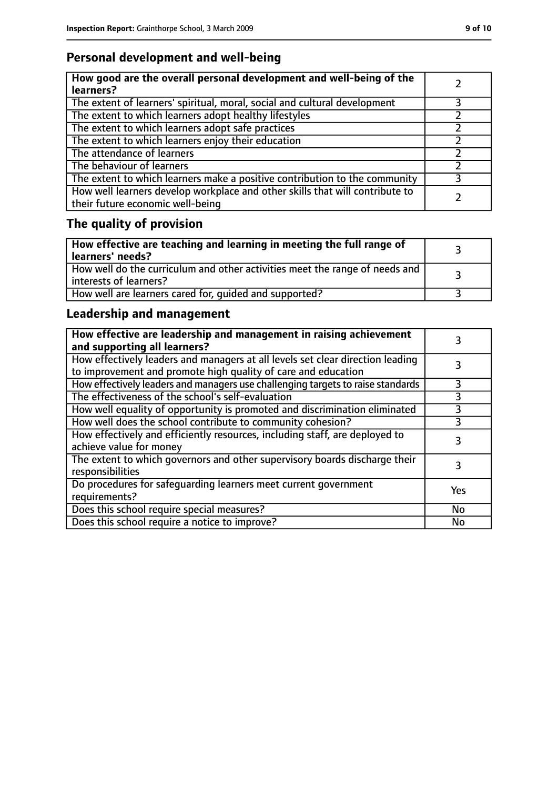## **Personal development and well-being**

| How good are the overall personal development and well-being of the<br>learners?                                 |  |
|------------------------------------------------------------------------------------------------------------------|--|
| The extent of learners' spiritual, moral, social and cultural development                                        |  |
| The extent to which learners adopt healthy lifestyles                                                            |  |
| The extent to which learners adopt safe practices                                                                |  |
| The extent to which learners enjoy their education                                                               |  |
| The attendance of learners                                                                                       |  |
| The behaviour of learners                                                                                        |  |
| The extent to which learners make a positive contribution to the community                                       |  |
| How well learners develop workplace and other skills that will contribute to<br>their future economic well-being |  |

# **The quality of provision**

| $\mid$ How effective are teaching and learning in meeting the full range of<br>  learners' needs?       |  |
|---------------------------------------------------------------------------------------------------------|--|
| How well do the curriculum and other activities meet the range of needs and<br>  interests of learners? |  |
| How well are learners cared for, quided and supported?                                                  |  |

## **Leadership and management**

| How effective are leadership and management in raising achievement<br>and supporting all learners?                                              |     |
|-------------------------------------------------------------------------------------------------------------------------------------------------|-----|
| How effectively leaders and managers at all levels set clear direction leading<br>to improvement and promote high quality of care and education |     |
| How effectively leaders and managers use challenging targets to raise standards                                                                 |     |
| The effectiveness of the school's self-evaluation                                                                                               | 3   |
| How well equality of opportunity is promoted and discrimination eliminated                                                                      | 3   |
| How well does the school contribute to community cohesion?                                                                                      | 3   |
| How effectively and efficiently resources, including staff, are deployed to<br>achieve value for money                                          | 3   |
| The extent to which governors and other supervisory boards discharge their<br>responsibilities                                                  |     |
| Do procedures for safequarding learners meet current government<br>requirements?                                                                | Yes |
| Does this school require special measures?                                                                                                      | No  |
| Does this school require a notice to improve?                                                                                                   | No  |